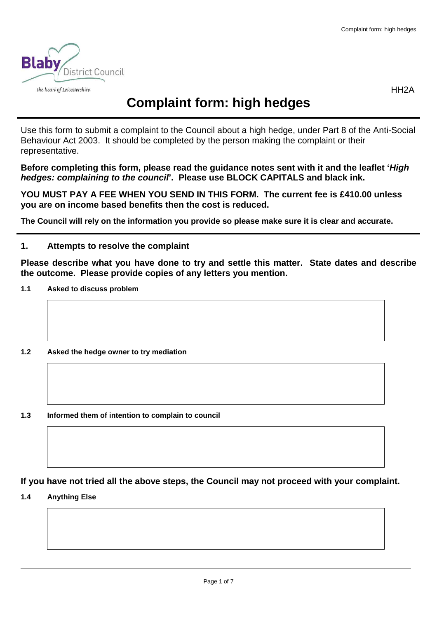

HH2A

# **Complaint form: high hedges**

 Use this form to submit a complaint to the Council about a high hedge, under Part 8 of the Anti-Social Behaviour Act 2003. It should be completed by the person making the complaint or their representative.

 **Before completing this form, please read the guidance notes sent with it and the leaflet 'High**  hedges: complaining to the council<sup>p</sup>. Please use BLOCK CAPITALS and black ink.

 **YOU MUST PAY A FEE WHEN YOU SEND IN THIS FORM. The current fee is £410.00 unless you are on income based benefits then the cost is reduced.** 

 **The Council will rely on the information you provide so please make sure it is clear and accurate.** 

# **1. Attempts to resolve the complaint**

 **Please describe what you have done to try and settle this matter. State dates and describe the outcome. Please provide copies of any letters you mention.** 

#### $1.1$ **1.1 Asked to discuss problem**

- $1.2$ **1.2 Asked the hedge owner to try mediation**
- **1.3 Informed them of intention to complain to council**

 **If you have not tried all the above steps, the Council may not proceed with your complaint.** 

 **1.4 Anything Else**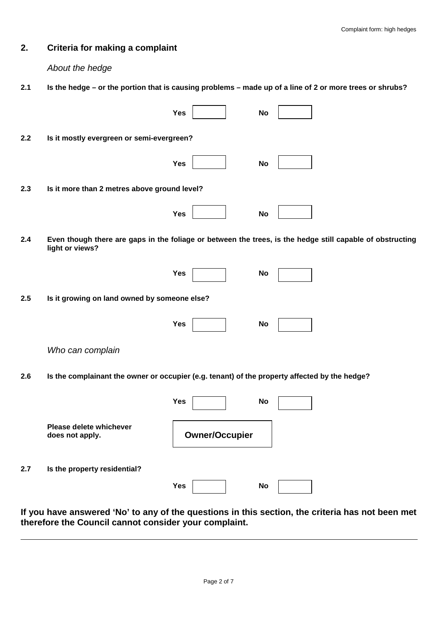## **2. Criteria for making a complaint**

About the hedge

 $2.1$ **2.1 Is the hedge – or the portion that is causing problems – made up of a line of 2 or more trees or shrubs?** 

|     |                                                                                               | Yes                   | <b>No</b>                                                                                                 |
|-----|-----------------------------------------------------------------------------------------------|-----------------------|-----------------------------------------------------------------------------------------------------------|
| 2.2 | Is it mostly evergreen or semi-evergreen?                                                     |                       |                                                                                                           |
|     |                                                                                               | <b>Yes</b>            | <b>No</b>                                                                                                 |
| 2.3 | Is it more than 2 metres above ground level?                                                  |                       |                                                                                                           |
|     |                                                                                               | Yes                   | <b>No</b>                                                                                                 |
| 2.4 | light or views?                                                                               |                       | Even though there are gaps in the foliage or between the trees, is the hedge still capable of obstructing |
|     |                                                                                               | Yes                   | No                                                                                                        |
| 2.5 | Is it growing on land owned by someone else?                                                  |                       |                                                                                                           |
|     |                                                                                               | Yes                   | No                                                                                                        |
|     | Who can complain                                                                              |                       |                                                                                                           |
| 2.6 | Is the complainant the owner or occupier (e.g. tenant) of the property affected by the hedge? |                       |                                                                                                           |
|     |                                                                                               | Yes                   | <b>No</b>                                                                                                 |
|     | Please delete whichever<br>does not apply.                                                    | <b>Owner/Occupier</b> |                                                                                                           |
| 2.7 | Is the property residential?                                                                  |                       |                                                                                                           |
|     |                                                                                               | Yes                   | <b>No</b>                                                                                                 |

 **If you have answered 'No' to any of the questions in this section, the criteria has not been met therefore the Council cannot consider your complaint.**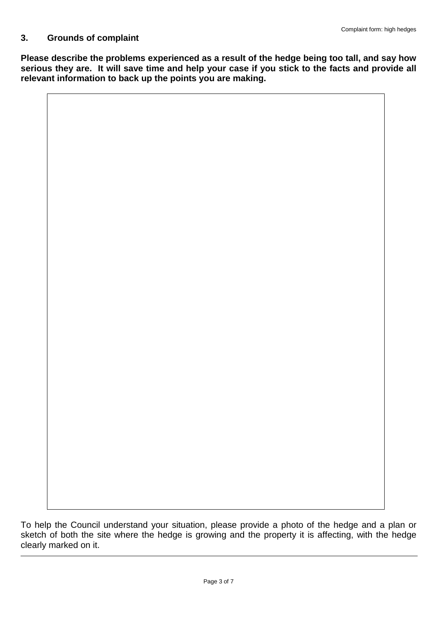# **3. Grounds of complaint**

 **Please describe the problems experienced as a result of the hedge being too tall, and say how serious they are. It will save time and help your case if you stick to the facts and provide all relevant information to back up the points you are making.** 

 clearly marked on it. To help the Council understand your situation, please provide a photo of the hedge and a plan or sketch of both the site where the hedge is growing and the property it is affecting, with the hedge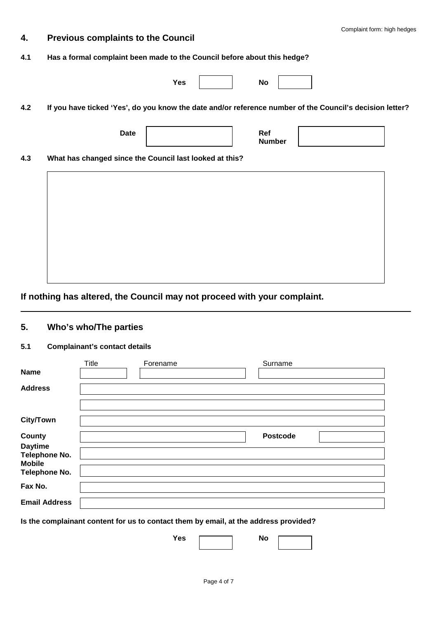# **4. Previous complaints to the Council**

#### **4.1 Has a formal complaint been made to the Council before about this hedge?**

| Ref<br><b>Date</b> |
|--------------------|
| <b>Number</b>      |

# **If nothing has altered, the Council may not proceed with your complaint.**

#### **5. Who's who/The parties**

### **5.1 Complainant's contact details**

|                                 | <b>Title</b> | Forename | Surname         |  |
|---------------------------------|--------------|----------|-----------------|--|
| <b>Name</b>                     |              |          |                 |  |
| <b>Address</b>                  |              |          |                 |  |
|                                 |              |          |                 |  |
| <b>City/Town</b>                |              |          |                 |  |
| <b>County</b>                   |              |          | <b>Postcode</b> |  |
| <b>Daytime</b><br>Telephone No. |              |          |                 |  |
| <b>Mobile</b><br>Telephone No.  |              |          |                 |  |
| Fax No.                         |              |          |                 |  |
| <b>Email Address</b>            |              |          |                 |  |

 **Is the complainant content for us to contact them by email, at the address provided?** 

Yes Mo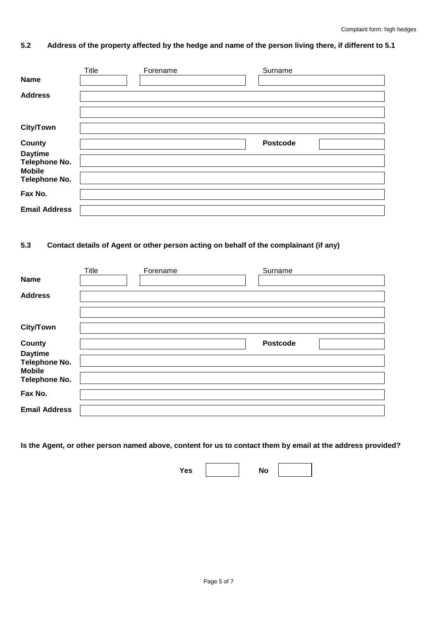### **5.2 Address of the property affected by the hedge and name of the person living there, if different to 5.1**

|                      | <b>Title</b> | Forename | Surname         |  |
|----------------------|--------------|----------|-----------------|--|
| <b>Name</b>          |              |          |                 |  |
| <b>Address</b>       |              |          |                 |  |
|                      |              |          |                 |  |
|                      |              |          |                 |  |
| <b>City/Town</b>     |              |          |                 |  |
|                      |              |          |                 |  |
| <b>County</b>        |              |          | <b>Postcode</b> |  |
| <b>Daytime</b>       |              |          |                 |  |
| Telephone No.        |              |          |                 |  |
| <b>Mobile</b>        |              |          |                 |  |
| <b>Telephone No.</b> |              |          |                 |  |
|                      |              |          |                 |  |
| Fax No.              |              |          |                 |  |
| <b>Email Address</b> |              |          |                 |  |
|                      |              |          |                 |  |

### **5.3 Contact details of Agent or other person acting on behalf of the complainant (if any)**

|                                 | <b>Title</b> | Forename | Surname         |  |
|---------------------------------|--------------|----------|-----------------|--|
| <b>Name</b>                     |              |          |                 |  |
| <b>Address</b>                  |              |          |                 |  |
|                                 |              |          |                 |  |
| <b>City/Town</b>                |              |          |                 |  |
| <b>County</b>                   |              |          | <b>Postcode</b> |  |
| <b>Daytime</b><br>Telephone No. |              |          |                 |  |
| <b>Mobile</b><br>Telephone No.  |              |          |                 |  |
| Fax No.                         |              |          |                 |  |
| <b>Email Address</b>            |              |          |                 |  |

 **Is the Agent, or other person named above, content for us to contact them by email at the address provided?** 

Yes **No**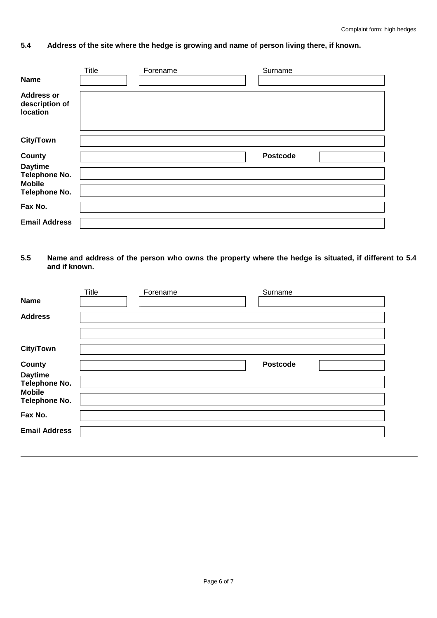### **5.4 Address of the site where the hedge is growing and name of person living there, if known.**

|                                                 | Title | Forename | Surname         |  |
|-------------------------------------------------|-------|----------|-----------------|--|
| <b>Name</b>                                     |       |          |                 |  |
| <b>Address or</b><br>description of<br>location |       |          |                 |  |
| <b>City/Town</b>                                |       |          |                 |  |
| County                                          |       |          | <b>Postcode</b> |  |
|                                                 |       |          |                 |  |
| <b>Daytime</b>                                  |       |          |                 |  |
| <b>Telephone No.</b><br><b>Mobile</b>           |       |          |                 |  |
| <b>Telephone No.</b>                            |       |          |                 |  |
| Fax No.                                         |       |          |                 |  |
| <b>Email Address</b>                            |       |          |                 |  |

#### **and if known. 5.5 Name and address of the person who owns the property where the hedge is situated, if different to 5.4**

| Title | Forename | Surname         |  |
|-------|----------|-----------------|--|
|       |          |                 |  |
|       |          |                 |  |
|       |          |                 |  |
|       |          |                 |  |
|       |          | <b>Postcode</b> |  |
|       |          |                 |  |
|       |          |                 |  |
|       |          |                 |  |
|       |          |                 |  |
|       |          |                 |  |
|       |          |                 |  |
|       |          |                 |  |